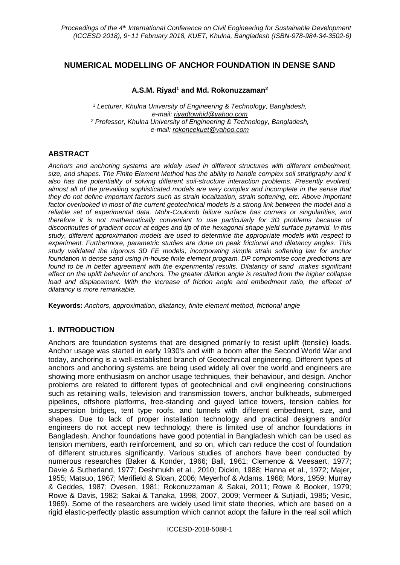# **NUMERICAL MODELLING OF ANCHOR FOUNDATION IN DENSE SAND**

## **A.S.M. Riyad<sup>1</sup> and Md. Rokonuzzaman<sup>2</sup>**

<sup>1</sup> *Lecturer, Khulna University of Engineering & Technology, Bangladesh, e-mail: riyadtowhid@yahoo.com <sup>2</sup> Professor, Khulna University of Engineering & Technology, Bangladesh, e-mail: rokoncekuet@yahoo.com*

# **ABSTRACT**

*Anchors and anchoring systems are widely used in different structures with different embedment, size, and shapes. The Finite Element Method has the ability to handle complex soil stratigraphy and it also has the potentiality of solving different soil-structure interaction problems. Presently evolved, almost all of the prevailing sophisticated models are very complex and incomplete in the sense that they do not define important factors such as strain localization, strain softening, etc. Above important*  factor overlooked in most of the current geotechnical models is a strong link between the model and a *reliable set of experimental data. Mohr-Coulomb failure surface has corners or singularities, and therefore it is not mathematically convenient to use particularly for 3D problems because of discontinuties of gradient occur at edges and tip of the hexagonal shape yield surface pyramid. In this study, different approximation models are used to determine the appropriate models with respect to experiment. Furthermore, parametric studies are done on peak frictional and dilatancy angles. This study validated the rigorous 3D FE models, incorporating simple strain softening law for anchor foundation in dense sand using in-house finite element program. DP compromise cone predictions are found to be in better agreement with the experimental results. Dilatancy of sand makes significant effect on the uplift behavior of anchors. The greater dilation angle is resulted from the higher collapse*  load and displacement. With the increase of friction angle and embedment ratio, the effecet of *dilatancy is more remarkable.*

**Keywords:** *Anchors, approximation, dilatancy, finite element method, frictional angle*

## **1. INTRODUCTION**

Anchors are foundation systems that are designed primarily to resist uplift (tensile) loads. Anchor usage was started in early 1930's and with a boom after the Second World War and today, anchoring is a well-established branch of Geotechnical engineering. Different types of anchors and anchoring systems are being used widely all over the world and engineers are showing more enthusiasm on anchor usage techniques, their behaviour, and design. Anchor problems are related to different types of geotechnical and civil engineering constructions such as retaining walls, television and transmission towers, anchor bulkheads, submerged pipelines, offshore platforms, free-standing and guyed lattice towers, tension cables for suspension bridges, tent type roofs, and tunnels with different embedment, size, and shapes. Due to lack of proper installation technology and practical designers and/or engineers do not accept new technology; there is limited use of anchor foundations in Bangladesh. Anchor foundations have good potential in Bangladesh which can be used as tension members, earth reinforcement, and so on, which can reduce the cost of foundation of different structures significantly. Various studies of anchors have been conducted by numerous researches (Baker & Konder, 1966; Ball, 1961; Clemence & Veesaert, 1977; Davie & Sutherland, 1977; Deshmukh et al., 2010; Dickin, 1988; Hanna et al., 1972; Majer, 1955; Matsuo, 1967; Merifield & Sloan, 2006; Meyerhof & Adams, 1968; Mors, 1959; Murray & Geddes, 1987; Ovesen, 1981; Rokonuzzaman & Sakai, 2011; Rowe & Booker, 1979; Rowe & Davis, 1982; Sakai & Tanaka, 1998, 2007, 2009; Vermeer & Sutjiadi, 1985; Vesic, 1969). Some of the researchers are widely used limit state theories, which are based on a rigid elastic-perfectly plastic assumption which cannot adopt the failure in the real soil which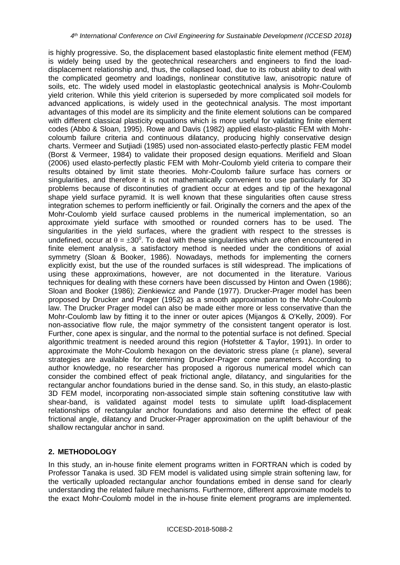is highly progressive. So, the displacement based elastoplastic finite element method (FEM) is widely being used by the geotechnical researchers and engineers to find the loaddisplacement relationship and, thus, the collapsed load, due to its robust ability to deal with the complicated geometry and loadings, nonlinear constitutive law, anisotropic nature of soils, etc. The widely used model in elastoplastic geotechnical analysis is Mohr-Coulomb yield criterion. While this yield criterion is superseded by more complicated soil models for advanced applications, is widely used in the geotechnical analysis. The most important advantages of this model are its simplicity and the finite element solutions can be compared with different classical plasticity equations which is more useful for validating finite element codes (Abbo & Sloan, 1995). Rowe and Davis (1982) applied elasto-plastic FEM with Mohrcoloumb failure criteria and continuous dilatancy, producing highly conservative design charts. Vermeer and Sutjiadi (1985) used non-associated elasto-perfectly plastic FEM model (Borst & Vermeer, 1984) to validate their proposed design equations. Merifield and Sloan (2006) used elasto-perfectly plastic FEM with Mohr-Coulomb yield criteria to compare their results obtained by limit state theories. Mohr-Coulomb failure surface has corners or singularities, and therefore it is not mathematically convenient to use particularly for 3D problems because of discontinuties of gradient occur at edges and tip of the hexagonal shape yield surface pyramid. It is well known that these singularities often cause stress integration schemes to perform inefficiently or fail. Originally the corners and the apex of the Mohr-Coulomb yield surface caused problems in the numerical implementation, so an approximate yield surface with smoothed or rounded corners has to be used. The singularities in the yield surfaces, where the gradient with respect to the stresses is undefined, occur at  $\theta = \pm 30^{\circ}$ . To deal with these singularities which are often encountered in finite element analysis, a satisfactory method is needed under the conditions of axial symmetry (Sloan & Booker, 1986). Nowadays, methods for implementing the corners explicitly exist, but the use of the rounded surfaces is still widespread. The implications of using these approximations, however, are not documented in the literature. Various techniques for dealing with these corners have been discussed by Hinton and Owen (1986); Sloan and Booker (1986); Zienkiewicz and Pande (1977). Drucker-Prager model has been proposed by Drucker and Prager (1952) as a smooth approximation to the Mohr-Coulomb law. The Drucker Prager model can also be made either more or less conservative than the Mohr-Coulomb law by fitting it to the inner or outer apices (Mijangos & O'Kelly, 2009). For non-associative flow rule, the major symmetry of the consistent tangent operator is lost. Further, cone apex is singular, and the normal to the potential surface is not defined. Special algorithmic treatment is needed around this region (Hofstetter & Taylor, 1991). In order to approximate the Mohr-Coulomb hexagon on the deviatoric stress plane  $(\pi$  plane), several strategies are available for determining Drucker-Prager cone parameters. According to author knowledge, no researcher has proposed a rigorous numerical model which can consider the combined effect of peak frictional angle, dilatancy, and singularities for the rectangular anchor foundations buried in the dense sand. So, in this study, an elasto-plastic 3D FEM model, incorporating non-associated simple stain softening constitutive law with shear-band, is validated against model tests to simulate uplift load-displacement relationships of rectangular anchor foundations and also determine the effect of peak frictional angle, dilatancy and Drucker-Prager approximation on the uplift behaviour of the shallow rectangular anchor in sand.

# **2. METHODOLOGY**

In this study, an in-house finite element programs written in FORTRAN which is coded by Professor Tanaka is used. 3D FEM model is validated using simple strain softening law, for the vertically uploaded rectangular anchor foundations embed in dense sand for clearly understanding the related failure mechanisms. Furthermore, different approximate models to the exact Mohr-Coulomb model in the in-house finite element programs are implemented.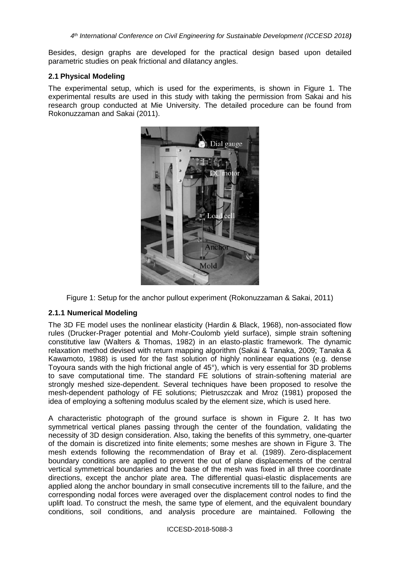Besides, design graphs are developed for the practical design based upon detailed parametric studies on peak frictional and dilatancy angles.

### **2.1 Physical Modeling**

The experimental setup, which is used for the experiments, is shown in Figure 1. The experimental results are used in this study with taking the permission from Sakai and his research group conducted at Mie University. The detailed procedure can be found from Rokonuzzaman and Sakai (2011).



Figure 1: Setup for the anchor pullout experiment (Rokonuzzaman & Sakai, 2011)

## **2.1.1 Numerical Modeling**

The 3D FE model uses the nonlinear elasticity (Hardin & Black, 1968), non-associated flow rules (Drucker-Prager potential and Mohr-Coulomb yield surface), simple strain softening constitutive law (Walters & Thomas, 1982) in an elasto-plastic framework. The dynamic relaxation method devised with return mapping algorithm (Sakai & Tanaka, 2009; Tanaka & Kawamoto, 1988) is used for the fast solution of highly nonlinear equations (e.g. dense Toyoura sands with the high frictional angle of 45°), which is very essential for 3D problems to save computational time. The standard FE solutions of strain-softening material are strongly meshed size-dependent. Several techniques have been proposed to resolve the mesh-dependent pathology of FE solutions; Pietruszczak and Mroz (1981) proposed the idea of employing a softening modulus scaled by the element size, which is used here.

A characteristic photograph of the ground surface is shown in Figure 2. It has two symmetrical vertical planes passing through the center of the foundation, validating the necessity of 3D design consideration. Also, taking the benefits of this symmetry, one-quarter of the domain is discretized into finite elements; some meshes are shown in Figure 3. The mesh extends following the recommendation of Bray et al. (1989). Zero-displacement boundary conditions are applied to prevent the out of plane displacements of the central vertical symmetrical boundaries and the base of the mesh was fixed in all three coordinate directions, except the anchor plate area. The differential quasi-elastic displacements are applied along the anchor boundary in small consecutive increments till to the failure, and the corresponding nodal forces were averaged over the displacement control nodes to find the uplift load. To construct the mesh, the same type of element, and the equivalent boundary conditions, soil conditions, and analysis procedure are maintained. Following the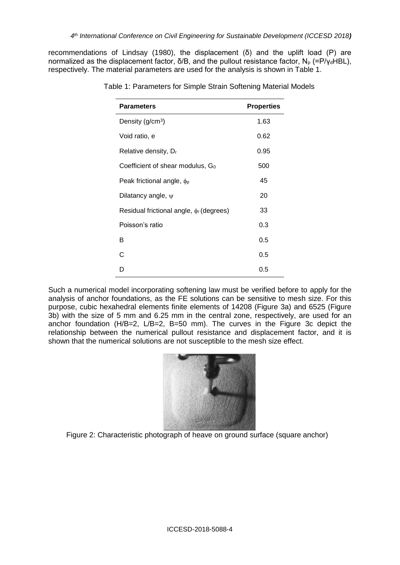recommendations of Lindsay (1980), the displacement (δ) and the uplift load (P) are normalized as the displacement factor,  $\delta$ /B, and the pullout resistance factor, N<sub>p</sub> (=P/γ<sub>d</sub>HBL), respectively. The material parameters are used for the analysis is shown in Table 1.

| <b>Parameters</b>                           | <b>Properties</b> |
|---------------------------------------------|-------------------|
| Density ( $g/cm3$ )                         | 1.63              |
| Void ratio, e                               | 0.62              |
| Relative density, D <sub>r</sub>            | 0.95              |
| Coefficient of shear modulus, $G_0$         | 500               |
| Peak frictional angle, $\phi_{\rm p}$       | 45                |
| Dilatancy angle, $\psi$                     | 20                |
| Residual frictional angle, $\phi$ (degrees) | 33                |
| Poisson's ratio                             | 0.3               |
| B                                           | 0.5               |
| C                                           | 0.5               |
| n                                           | 0.5               |

Table 1: Parameters for Simple Strain Softening Material Models

Such a numerical model incorporating softening law must be verified before to apply for the analysis of anchor foundations, as the FE solutions can be sensitive to mesh size. For this purpose, cubic hexahedral elements finite elements of 14208 (Figure 3a) and 6525 (Figure 3b) with the size of 5 mm and 6.25 mm in the central zone, respectively, are used for an anchor foundation (H/B=2, L/B=2, B=50 mm). The curves in the Figure 3c depict the relationship between the numerical pullout resistance and displacement factor, and it is shown that the numerical solutions are not susceptible to the mesh size effect.



Figure 2: Characteristic photograph of heave on ground surface (square anchor)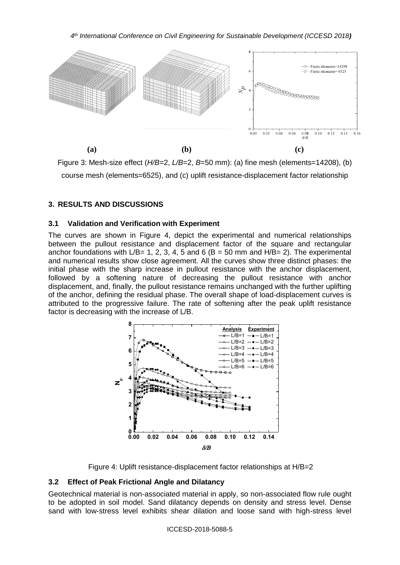*4 th International Conference on Civil Engineering for Sustainable Development (ICCESD 2018)*



Figure 3: Mesh-size effect (*H/B*=2, *L/B*=2, *B*=50 mm): (a) fine mesh (elements=14208), (b) course mesh (elements=6525), and (c) uplift resistance-displacement factor relationship

## **3. RESULTS AND DISCUSSIONS**

### **3.1 Validation and Verification with Experiment**

The curves are shown in Figure 4, depict the experimental and numerical relationships between the pullout resistance and displacement factor of the square and rectangular anchor foundations with L/B= 1, 2, 3, 4, 5 and 6 (B = 50 mm and H/B= 2). The experimental and numerical results show close agreement. All the curves show three distinct phases: the initial phase with the sharp increase in pullout resistance with the anchor displacement, followed by a softening nature of decreasing the pullout resistance with anchor displacement, and, finally, the pullout resistance remains unchanged with the further uplifting of the anchor, defining the residual phase. The overall shape of load-displacement curves is attributed to the progressive failure. The rate of softening after the peak uplift resistance factor is decreasing with the increase of L/B.



Figure 4: Uplift resistance-displacement factor relationships at H/B=2

## **3.2 Effect of Peak Frictional Angle and Dilatancy**

Geotechnical material is non-associated material in apply, so non-associated flow rule ought to be adopted in soil model. Sand dilatancy depends on density and stress level. Dense sand with low-stress level exhibits shear dilation and loose sand with high-stress level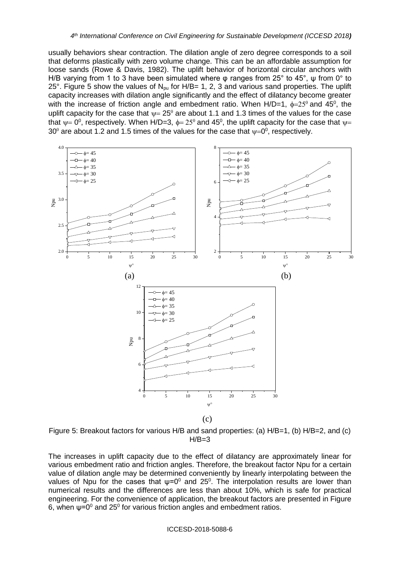usually behaviors shear contraction. The dilation angle of zero degree corresponds to a soil that deforms plastically with zero volume change. This can be an affordable assumption for loose sands (Rowe & Davis, 1982). The uplift behavior of horizontal circular anchors with H/B varying from 1 to 3 have been simulated where φ ranges from 25° to 45°, ψ from 0° to 25°. Figure 5 show the values of  $N_{\text{pu}}$  for H/B= 1, 2, 3 and various sand properties. The uplift capacity increases with dilation angle significantly and the effect of dilatancy become greater with the increase of friction angle and embedment ratio. When H/D=1,  $\phi = 25^{\circ}$  and 45<sup>o</sup>, the uplift capacity for the case that  $\psi = 25^\circ$  are about 1.1 and 1.3 times of the values for the case that  $\psi$ = 0<sup>0</sup>, respectively. When H/D=3,  $\phi$ = 25<sup>0</sup> and 45<sup>0</sup>, the uplift capacity for the case that  $\psi$ = 30<sup>0</sup> are about 1.2 and 1.5 times of the values for the case that  $\psi = 0^0$ , respectively.



Figure 5: Breakout factors for various H/B and sand properties: (a) H/B=1, (b) H/B=2, and (c)<br>H/B=3  $H/B=3$ 

The increases in uplift capacity due to the effect of dilatancy are approximately linear for various embedment ratio and friction angles. Therefore, the breakout factor Npu for a certain value of dilation angle may be determined conveniently by linearly interpolating between the values of Npu for the cases that  $\psi = 0^0$  and 25<sup>0</sup>. The interpolation results are lower than numerical results and the differences are less than about 10%, which is safe for practical engineering. For the convenience of application, the breakout factors are presented in Figure 6, when  $ψ=0<sup>0</sup>$  and 25<sup>0</sup> for various friction angles and embedment ratios.

ICCESD-2018-5088-6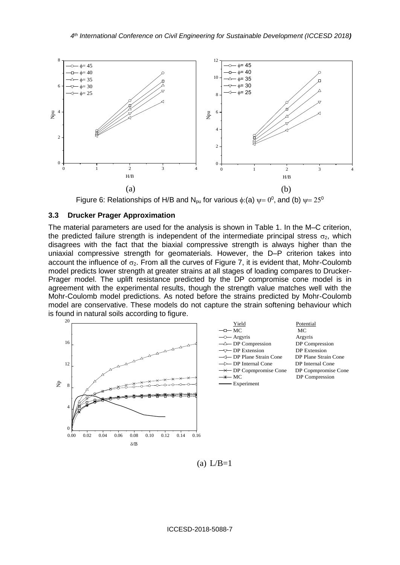

Figure 6. Relationships of H/B and Npu for various  $\psi$ ,  $\psi$   $\psi$   $\rightarrow$   $\psi$ , and Figure 6: Relationships of H/B and N<sub>pu</sub> for various  $\phi$ :(a)  $\psi$  = 0<sup>0</sup>, and (b)  $\psi$  = 25<sup>0</sup>

#### **3.3 Drucker Prager Approximation**

The material parameters are used for the analysis is shown in Table 1. In the M–C criterion, the predicted failure strength is independent of the intermediate principal stress  $\sigma_2$ , which disagrees with the fact that the biaxial compressive strength is always higher than the uniaxial compressive strength for geomaterials. However, the D–P criterion takes into account the influence of  $\sigma_2$ . From all the curves of Figure 7, it is evident that, Mohr-Coulomb model predicts lower strength at greater strains at all stages of loading compares to Drucker-Prager model. The uplift resistance predicted by the DP compromise cone model is in agreement with the experimental results, though the strength value matches well with the Mohr-Coulomb model predictions. As noted before the strains predicted by Mohr-Coulomb model are conservative. These models do not capture the strain softening behaviour which is found in natural soils according to figure.



 $(a) L/B=1$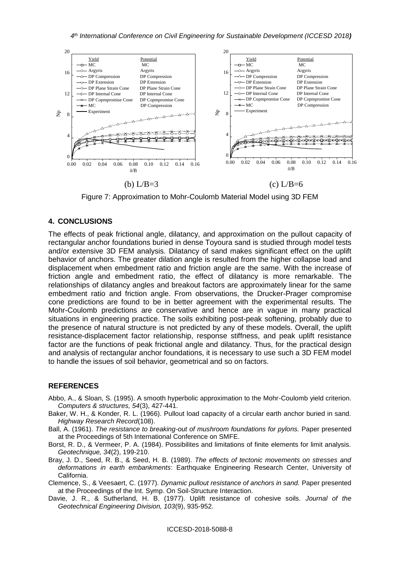

Figure 7: Approximation to Mohr-Coulomb Material Model using 3D FEM

### **4. CONCLUSIONS**

The effects of peak frictional angle, dilatancy, and approximation on the pullout capacity of rectangular anchor foundations buried in dense Toyoura sand is studied through model tests and/or extensive 3D FEM analysis. Dilatancy of sand makes significant effect on the uplift behavior of anchors. The greater dilation angle is resulted from the higher collapse load and displacement when embedment ratio and friction angle are the same. With the increase of friction angle and embedment ratio, the effect of dilatancy is more remarkable. The relationships of dilatancy angles and breakout factors are approximately linear for the same embedment ratio and friction angle. From observations, the Drucker-Prager compromise cone predictions are found to be in better agreement with the experimental results. The Mohr-Coulomb predictions are conservative and hence are in vague in many practical situations in engineering practice. The soils exhibiting post-peak softening, probably due to the presence of natural structure is not predicted by any of these models. Overall, the uplift resistance-displacement factor relationship, response stiffness, and peak uplift resistance factor are the functions of peak frictional angle and dilatancy. Thus, for the practical design and analysis of rectangular anchor foundations, it is necessary to use such a 3D FEM model to handle the issues of soil behavior, geometrical and so on factors.

### **REFERENCES**

- Abbo, A., & Sloan, S. (1995). A smooth hyperbolic approximation to the Mohr-Coulomb yield criterion. *Computers & structures, 54*(3), 427-441.
- Baker, W. H., & Konder, R. L. (1966). Pullout load capacity of a circular earth anchor buried in sand. *Highway Research Record*(108).
- Ball, A. (1961). *The resistance to breaking-out of mushroom foundations for pylons.* Paper presented at the Proceedings of 5th International Conference on SMFE.
- Borst, R. D., & Vermeer, P. A. (1984). Possibilites and limitations of finite elements for limit analysis. *Geotechnique, 34*(2), 199-210.
- Bray, J. D., Seed, R. B., & Seed, H. B. (1989). *The effects of tectonic movements on stresses and deformations in earth embankments*: Earthquake Engineering Research Center, University of California.
- Clemence, S., & Veesaert, C. (1977). *Dynamic pullout resistance of anchors in sand.* Paper presented at the Proceedings of the Int. Symp. On Soil-Structure Interaction.
- Davie, J. R., & Sutherland, H. B. (1977). Uplift resistance of cohesive soils. *Journal of the Geotechnical Engineering Division, 103*(9), 935-952.